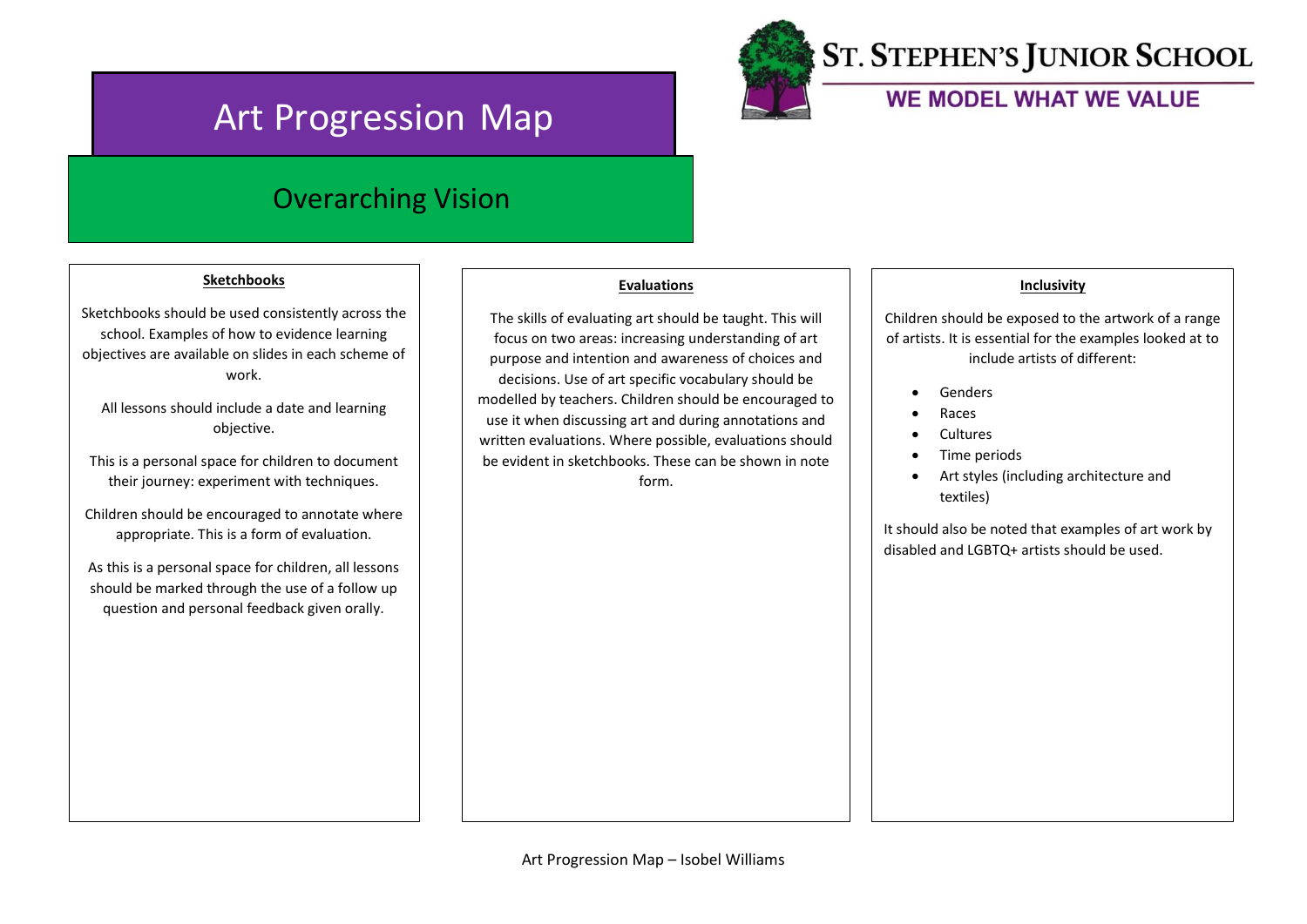# Art Progression Map



## **ST. STEPHEN'S JUNIOR SCHOOL**

### WE MODEL WHAT WE VALUE

## Overarching Vision

### **Sketchbooks**

Sketchbooks should be used consistently across the school. Examples of how to evidence learning objectives are available on slides in each scheme of work.

All lessons should include a date and learning objective.

This is a personal space for children to document their journey: experiment with techniques.

Children should be encouraged to annotate where appropriate. This is a form of evaluation.

As this is a personal space for children, all lessons should be marked through the use of a follow up question and personal feedback given orally.

### **Evaluations**

The skills of evaluating art should be taught. This will focus on two areas: increasing understanding of art purpose and intention and awareness of choices and decisions. Use of art specific vocabulary should be modelled by teachers. Children should be encouraged to use it when discussing art and during annotations and written evaluations. Where possible, evaluations should be evident in sketchbooks. These can be shown in note form.

### **Inclusivity**

Children should be exposed to the artwork of a range of artists. It is essential for the examples looked at to include artists of different:

- **Genders**
- Races
- **Cultures**
- Time periods
- Art styles (including architecture and textiles)

It should also be noted that examples of art work by disabled and LGBTQ+ artists should be used.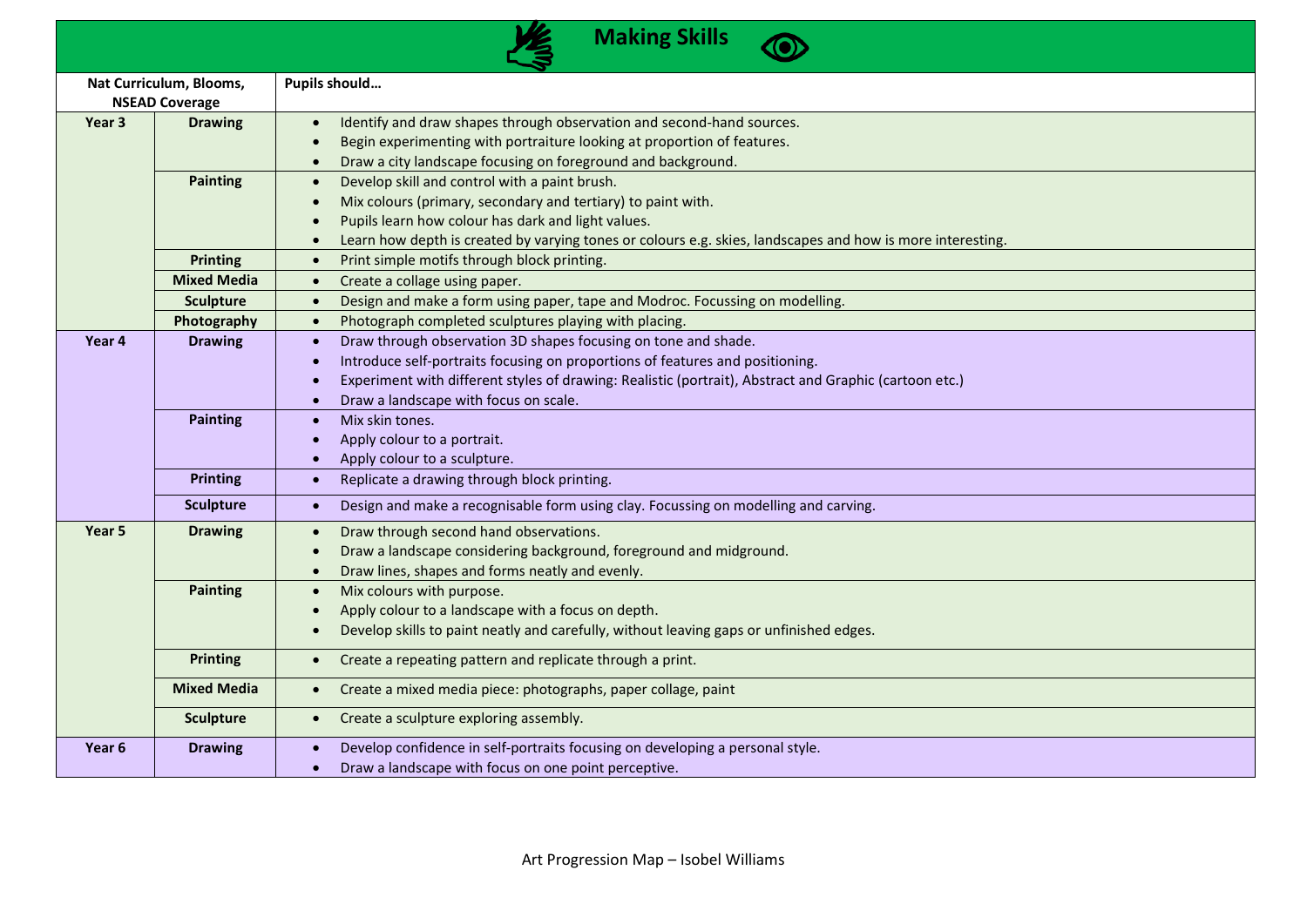|                                                  |                    | <b>Making Skills</b>                                                                                                                                                                                                                                                                                                         |
|--------------------------------------------------|--------------------|------------------------------------------------------------------------------------------------------------------------------------------------------------------------------------------------------------------------------------------------------------------------------------------------------------------------------|
| Nat Curriculum, Blooms,<br><b>NSEAD Coverage</b> |                    | Pupils should                                                                                                                                                                                                                                                                                                                |
| Year <sub>3</sub>                                | <b>Drawing</b>     | Identify and draw shapes through observation and second-hand sources.<br>$\bullet$<br>Begin experimenting with portraiture looking at proportion of features.<br>Draw a city landscape focusing on foreground and background.<br>$\bullet$                                                                                   |
|                                                  | <b>Painting</b>    | Develop skill and control with a paint brush.<br>$\bullet$<br>Mix colours (primary, secondary and tertiary) to paint with.<br>Pupils learn how colour has dark and light values.<br>Learn how depth is created by varying tones or colours e.g. skies, landscapes and how is more interesting.<br>$\bullet$                  |
|                                                  | <b>Printing</b>    | Print simple motifs through block printing.<br>$\bullet$                                                                                                                                                                                                                                                                     |
|                                                  | <b>Mixed Media</b> | Create a collage using paper.<br>$\bullet$                                                                                                                                                                                                                                                                                   |
|                                                  | <b>Sculpture</b>   | Design and make a form using paper, tape and Modroc. Focussing on modelling.<br>$\bullet$                                                                                                                                                                                                                                    |
|                                                  | Photography        | Photograph completed sculptures playing with placing.<br>$\bullet$                                                                                                                                                                                                                                                           |
| Year 4                                           | <b>Drawing</b>     | Draw through observation 3D shapes focusing on tone and shade.<br>$\bullet$<br>Introduce self-portraits focusing on proportions of features and positioning.<br>$\bullet$<br>Experiment with different styles of drawing: Realistic (portrait), Abstract and Graphic (cartoon etc.)<br>Draw a landscape with focus on scale. |
|                                                  | <b>Painting</b>    | Mix skin tones.<br>$\bullet$<br>Apply colour to a portrait.<br>Apply colour to a sculpture.<br>$\bullet$                                                                                                                                                                                                                     |
|                                                  | <b>Printing</b>    | Replicate a drawing through block printing.<br>$\bullet$                                                                                                                                                                                                                                                                     |
|                                                  | <b>Sculpture</b>   | Design and make a recognisable form using clay. Focussing on modelling and carving.<br>$\bullet$                                                                                                                                                                                                                             |
| Year 5                                           | <b>Drawing</b>     | Draw through second hand observations.<br>$\bullet$<br>Draw a landscape considering background, foreground and midground.<br>Draw lines, shapes and forms neatly and evenly.<br>$\bullet$                                                                                                                                    |
|                                                  | <b>Painting</b>    | Mix colours with purpose.<br>$\bullet$<br>Apply colour to a landscape with a focus on depth.<br>Develop skills to paint neatly and carefully, without leaving gaps or unfinished edges.<br>$\bullet$                                                                                                                         |
|                                                  | <b>Printing</b>    | Create a repeating pattern and replicate through a print.<br>$\bullet$                                                                                                                                                                                                                                                       |
|                                                  | <b>Mixed Media</b> | Create a mixed media piece: photographs, paper collage, paint<br>$\bullet$                                                                                                                                                                                                                                                   |
|                                                  | <b>Sculpture</b>   | Create a sculpture exploring assembly.<br>$\bullet$                                                                                                                                                                                                                                                                          |
| Year <sub>6</sub>                                | <b>Drawing</b>     | Develop confidence in self-portraits focusing on developing a personal style.<br>Draw a landscape with focus on one point perceptive.<br>$\bullet$                                                                                                                                                                           |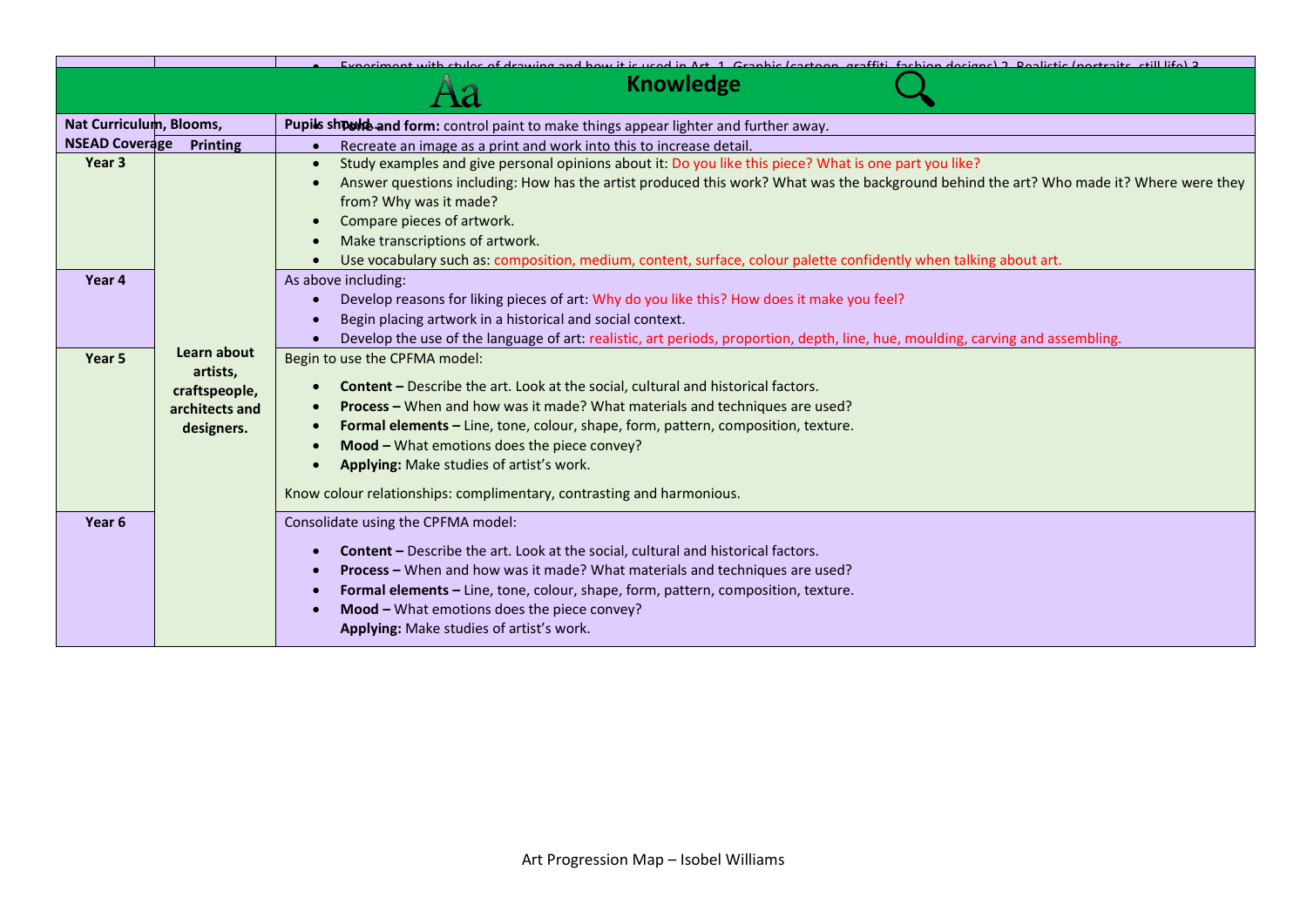|                         |                                                                          | Evasiment with styles of drawing and bow it is used in Art 1. Crapbis (sexteen, graffiti, fashion designs) 2. Bealistic (pertraits, still life) 2.                                                                                                                                                                                                                                                                                                                             |
|-------------------------|--------------------------------------------------------------------------|--------------------------------------------------------------------------------------------------------------------------------------------------------------------------------------------------------------------------------------------------------------------------------------------------------------------------------------------------------------------------------------------------------------------------------------------------------------------------------|
|                         |                                                                          | <b>Knowledge</b>                                                                                                                                                                                                                                                                                                                                                                                                                                                               |
| Nat Curriculum, Blooms, |                                                                          | Pupils should and form: control paint to make things appear lighter and further away.                                                                                                                                                                                                                                                                                                                                                                                          |
| <b>NSEAD Coverage</b>   | <b>Printing</b>                                                          | Recreate an image as a print and work into this to increase detail.<br>$\bullet$                                                                                                                                                                                                                                                                                                                                                                                               |
| Year 3                  |                                                                          | Study examples and give personal opinions about it: Do you like this piece? What is one part you like?<br>$\bullet$<br>Answer questions including: How has the artist produced this work? What was the background behind the art? Who made it? Where were they<br>from? Why was it made?<br>Compare pieces of artwork.<br>Make transcriptions of artwork.<br>Use vocabulary such as: composition, medium, content, surface, colour palette confidently when talking about art. |
| Year 4                  |                                                                          | As above including:<br>Develop reasons for liking pieces of art: Why do you like this? How does it make you feel?<br>Begin placing artwork in a historical and social context.<br>Develop the use of the language of art: realistic, art periods, proportion, depth, line, hue, moulding, carving and assembling.                                                                                                                                                              |
| Year <sub>5</sub>       | Learn about<br>artists,<br>craftspeople,<br>architects and<br>designers. | Begin to use the CPFMA model:<br><b>Content</b> – Describe the art. Look at the social, cultural and historical factors.<br>Process - When and how was it made? What materials and techniques are used?<br>$\bullet$<br>Formal elements - Line, tone, colour, shape, form, pattern, composition, texture.<br>Mood - What emotions does the piece convey?<br>Applying: Make studies of artist's work.<br>Know colour relationships: complimentary, contrasting and harmonious.  |
| Year <sub>6</sub>       |                                                                          | Consolidate using the CPFMA model:<br><b>Content</b> – Describe the art. Look at the social, cultural and historical factors.<br>Process - When and how was it made? What materials and techniques are used?<br>Formal elements - Line, tone, colour, shape, form, pattern, composition, texture.<br>Mood - What emotions does the piece convey?<br>Applying: Make studies of artist's work.                                                                                   |